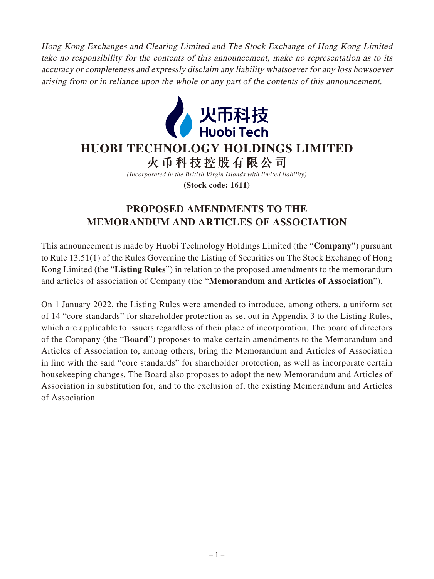Hong Kong Exchanges and Clearing Limited and The Stock Exchange of Hong Kong Limited take no responsibility for the contents of this announcement, make no representation as to its accuracy or completeness and expressly disclaim any liability whatsoever for any loss howsoever arising from or in reliance upon the whole or any part of the contents of this announcement.



## **HUOBI TECHNOLOGY HOLDINGS LIMITED**

**火幣科技控股有限公司**

*(Incorporated in the British Virgin Islands with limited liability)*

**(Stock code: 1611)**

## **PROPOSED AMENDMENTS TO THE MEMORANDUM AND ARTICLES OF ASSOCIATION**

This announcement is made by Huobi Technology Holdings Limited (the "**Company**") pursuant to Rule 13.51(1) of the Rules Governing the Listing of Securities on The Stock Exchange of Hong Kong Limited (the "**Listing Rules**") in relation to the proposed amendments to the memorandum and articles of association of Company (the "**Memorandum and Articles of Association**").

On 1 January 2022, the Listing Rules were amended to introduce, among others, a uniform set of 14 "core standards" for shareholder protection as set out in Appendix 3 to the Listing Rules, which are applicable to issuers regardless of their place of incorporation. The board of directors of the Company (the "**Board**") proposes to make certain amendments to the Memorandum and Articles of Association to, among others, bring the Memorandum and Articles of Association in line with the said "core standards" for shareholder protection, as well as incorporate certain housekeeping changes. The Board also proposes to adopt the new Memorandum and Articles of Association in substitution for, and to the exclusion of, the existing Memorandum and Articles of Association.